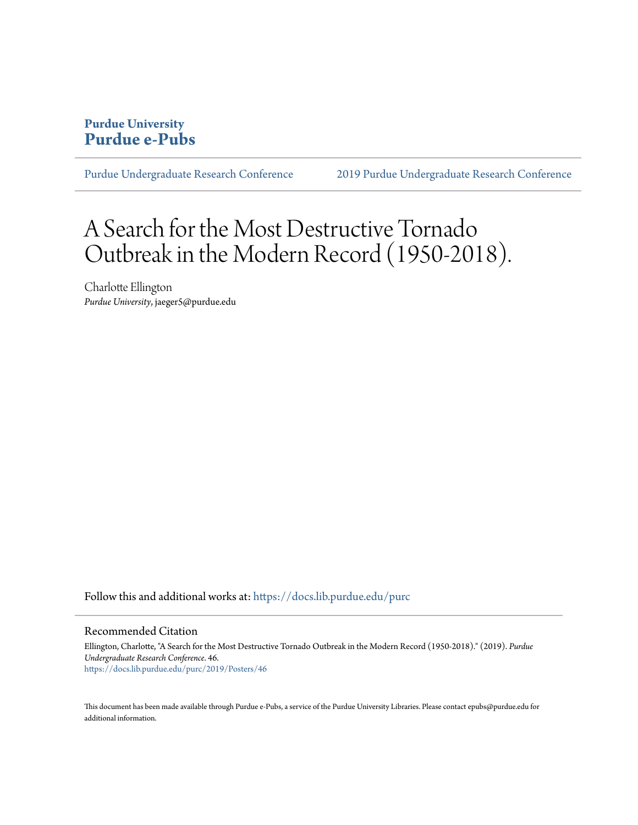#### **Purdue University [Purdue e-Pubs](https://docs.lib.purdue.edu?utm_source=docs.lib.purdue.edu%2Fpurc%2F2019%2FPosters%2F46&utm_medium=PDF&utm_campaign=PDFCoverPages)**

[Purdue Undergraduate Research Conference](https://docs.lib.purdue.edu/purc?utm_source=docs.lib.purdue.edu%2Fpurc%2F2019%2FPosters%2F46&utm_medium=PDF&utm_campaign=PDFCoverPages) [2019 Purdue Undergraduate Research Conference](https://docs.lib.purdue.edu/purc/2019?utm_source=docs.lib.purdue.edu%2Fpurc%2F2019%2FPosters%2F46&utm_medium=PDF&utm_campaign=PDFCoverPages)

# A Search for the Most Destructive Tornado Outbreak in the Modern Record (1950-2018).

Charlotte Ellington *Purdue University*, jaeger5@purdue.edu

Follow this and additional works at: [https://docs.lib.purdue.edu/purc](https://docs.lib.purdue.edu/purc?utm_source=docs.lib.purdue.edu%2Fpurc%2F2019%2FPosters%2F46&utm_medium=PDF&utm_campaign=PDFCoverPages)

#### Recommended Citation

Ellington, Charlotte, "A Search for the Most Destructive Tornado Outbreak in the Modern Record (1950-2018)." (2019). *Purdue Undergraduate Research Conference*. 46. [https://docs.lib.purdue.edu/purc/2019/Posters/46](https://docs.lib.purdue.edu/purc/2019/Posters/46?utm_source=docs.lib.purdue.edu%2Fpurc%2F2019%2FPosters%2F46&utm_medium=PDF&utm_campaign=PDFCoverPages)

This document has been made available through Purdue e-Pubs, a service of the Purdue University Libraries. Please contact epubs@purdue.edu for additional information.